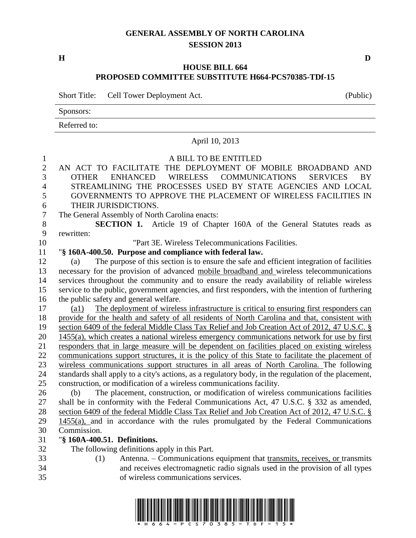## **GENERAL ASSEMBLY OF NORTH CAROLINA SESSION 2013**

**H D**

## **HOUSE BILL 664 PROPOSED COMMITTEE SUBSTITUTE H664-PCS70385-TDf-15**

Short Title: Cell Tower Deployment Act. (Public)

Sponsors:

Referred to:

|                  | April 10, 2013                                                                                                                                              |
|------------------|-------------------------------------------------------------------------------------------------------------------------------------------------------------|
| $\mathbf{1}$     | A BILL TO BE ENTITLED                                                                                                                                       |
| $\overline{2}$   | AN ACT TO FACILITATE THE DEPLOYMENT OF MOBILE BROADBAND AND                                                                                                 |
| 3                | <b>ENHANCED</b><br>WIRELESS<br><b>COMMUNICATIONS</b><br><b>BY</b><br><b>OTHER</b><br><b>SERVICES</b>                                                        |
| $\overline{4}$   | STREAMLINING THE PROCESSES USED BY STATE AGENCIES AND LOCAL                                                                                                 |
| 5                | GOVERNMENTS TO APPROVE THE PLACEMENT OF WIRELESS FACILITIES IN                                                                                              |
| 6                | THEIR JURISDICTIONS.                                                                                                                                        |
| $\boldsymbol{7}$ | The General Assembly of North Carolina enacts:                                                                                                              |
| 8                | SECTION 1. Article 19 of Chapter 160A of the General Statutes reads as                                                                                      |
| 9                | rewritten:                                                                                                                                                  |
| 10               | "Part 3E. Wireless Telecommunications Facilities.                                                                                                           |
| 11               | "§ 160A-400.50. Purpose and compliance with federal law.                                                                                                    |
| 12               | The purpose of this section is to ensure the safe and efficient integration of facilities<br>(a)                                                            |
| 13               | necessary for the provision of advanced mobile broadband and wireless telecommunications                                                                    |
| 14               | services throughout the community and to ensure the ready availability of reliable wireless                                                                 |
| 15               | service to the public, government agencies, and first responders, with the intention of furthering                                                          |
| 16               | the public safety and general welfare.                                                                                                                      |
| 17               | The deployment of wireless infrastructure is critical to ensuring first responders can<br>$\left( a1\right)$                                                |
| 18               | provide for the health and safety of all residents of North Carolina and that, consistent with                                                              |
| 19               | section 6409 of the federal Middle Class Tax Relief and Job Creation Act of 2012, 47 U.S.C. §                                                               |
| 20               | 1455(a), which creates a national wireless emergency communications network for use by first                                                                |
| 21               | responders that in large measure will be dependent on facilities placed on existing wireless                                                                |
| 22               | communications support structures, it is the policy of this State to facilitate the placement of                                                            |
| 23               | wireless communications support structures in all areas of North Carolina. The following                                                                    |
| 24               | standards shall apply to a city's actions, as a regulatory body, in the regulation of the placement,                                                        |
| 25               | construction, or modification of a wireless communications facility.                                                                                        |
| 26               | The placement, construction, or modification of wireless communications facilities<br>(b)                                                                   |
| 27               | shall be in conformity with the Federal Communications Act, 47 U.S.C. § 332 as amended,                                                                     |
| 28               | section 6409 of the federal Middle Class Tax Relief and Job Creation Act of 2012, 47 U.S.C. §                                                               |
| 29               | 1455(a), and in accordance with the rules promulgated by the Federal Communications<br>Commission.                                                          |
| 30<br>31         |                                                                                                                                                             |
| 32               | "§ 160A-400.51. Definitions.                                                                                                                                |
| 33               | The following definitions apply in this Part.<br>(1)                                                                                                        |
| 34               | Antenna. – Communications equipment that transmits, receives, or transmits<br>and receives electromagnetic radio signals used in the provision of all types |
| 35               | of wireless communications services.                                                                                                                        |
|                  |                                                                                                                                                             |

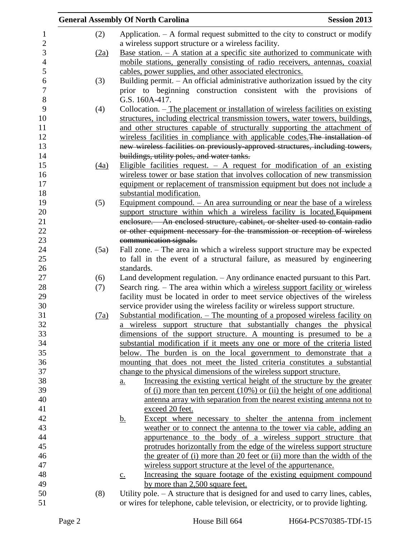|                |      | <b>General Assembly Of North Carolina</b>                                                       | <b>Session 2013</b> |
|----------------|------|-------------------------------------------------------------------------------------------------|---------------------|
| $\mathbf{1}$   | (2)  | Application. $-$ A formal request submitted to the city to construct or modify                  |                     |
| $\overline{c}$ |      | a wireless support structure or a wireless facility.                                            |                     |
| $\mathfrak{Z}$ | (2a) | <u>Base station. <math>- A</math> station at a specific site authorized to communicate with</u> |                     |
| $\overline{4}$ |      | mobile stations, generally consisting of radio receivers, antennas, coaxial                     |                     |
| 5              |      | cables, power supplies, and other associated electronics.                                       |                     |
| 6              | (3)  | Building permit. - An official administrative authorization issued by the city                  |                     |
| $\overline{7}$ |      | prior to beginning construction consistent with the provisions of                               |                     |
| $8\,$          |      | G.S. 160A-417.                                                                                  |                     |
| 9              | (4)  | Collocation. – The placement or installation of wireless facilities on existing                 |                     |
| 10             |      | structures, including electrical transmission towers, water towers, buildings,                  |                     |
| 11             |      | and other structures capable of structurally supporting the attachment of                       |                     |
| 12             |      | wireless facilities in compliance with applicable codes. The installation of                    |                     |
| 13             |      | new wireless facilities on previously-approved structures, including towers,                    |                     |
| 14             |      | buildings, utility poles, and water tanks.                                                      |                     |
| 15             | (4a) | Eligible facilities request. $-$ A request for modification of an existing                      |                     |
| 16             |      | wireless tower or base station that involves collocation of new transmission                    |                     |
| 17             |      | equipment or replacement of transmission equipment but does not include a                       |                     |
| 18             |      | substantial modification.                                                                       |                     |
| 19             | (5)  | <u>Equipment compound. <math>-</math> An area surrounding or near the base of a wireless</u>    |                     |
| 20             |      | support structure within which a wireless facility is located. Equipment                        |                     |
| 21             |      | enclosure. - An enclosed structure, cabinet, or shelter used to contain radio                   |                     |
| 22             |      | or other equipment necessary for the transmission or reception of wireless                      |                     |
| 23             |      | communication signals.                                                                          |                     |
| 24             | (5a) | Fall zone. - The area in which a wireless support structure may be expected                     |                     |
| 25             |      | to fall in the event of a structural failure, as measured by engineering                        |                     |
| 26             |      | standards.                                                                                      |                     |
| 27             | (6)  | Land development regulation. - Any ordinance enacted pursuant to this Part.                     |                     |
| 28             | (7)  | Search ring. – The area within which a wireless support facility or wireless                    |                     |
| 29             |      | facility must be located in order to meet service objectives of the wireless                    |                     |
| 30             |      | service provider using the wireless facility or wireless support structure.                     |                     |
| 31             | (7a) | Substantial modification. - The mounting of a proposed wireless facility on                     |                     |
| 32             |      | a wireless support structure that substantially changes the physical                            |                     |
| 33             |      | dimensions of the support structure. A mounting is presumed to be a                             |                     |
| 34             |      | substantial modification if it meets any one or more of the criteria listed                     |                     |
| 35             |      | below. The burden is on the local government to demonstrate that a                              |                     |
| 36             |      | mounting that does not meet the listed criteria constitutes a substantial                       |                     |
| 37             |      | change to the physical dimensions of the wireless support structure.                            |                     |
| 38             |      | Increasing the existing vertical height of the structure by the greater<br>$\underline{a}$ .    |                     |
| 39             |      | of (i) more than ten percent $(10\%)$ or (ii) the height of one additional                      |                     |
| 40             |      | antenna array with separation from the nearest existing antenna not to                          |                     |
| 41             |      | exceed 20 feet.                                                                                 |                     |
| 42             |      | Except where necessary to shelter the antenna from inclement<br><u>b.</u>                       |                     |
| 43             |      | weather or to connect the antenna to the tower via cable, adding an                             |                     |
| 44             |      | appurtenance to the body of a wireless support structure that                                   |                     |
| 45             |      | protrudes horizontally from the edge of the wireless support structure                          |                     |
| 46             |      | the greater of (i) more than 20 feet or (ii) more than the width of the                         |                     |
| 47             |      | wireless support structure at the level of the appurtenance.                                    |                     |
| 48             |      | Increasing the square footage of the existing equipment compound<br>$\underline{c}$ .           |                     |
| 49             |      | by more than 2,500 square feet.                                                                 |                     |
| 50             | (8)  | Utility pole. $- A$ structure that is designed for and used to carry lines, cables,             |                     |
| 51             |      | or wires for telephone, cable television, or electricity, or to provide lighting.               |                     |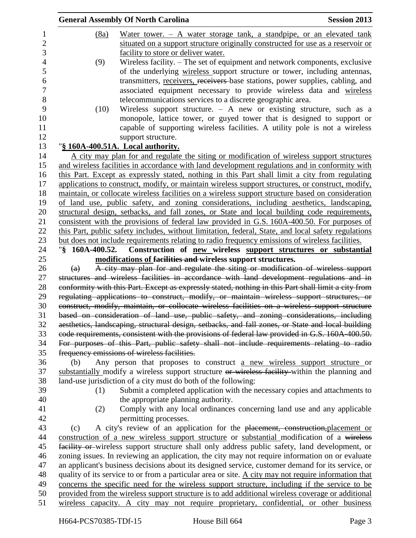|                |                   | <b>General Assembly Of North Carolina</b>                                                            | <b>Session 2013</b> |
|----------------|-------------------|------------------------------------------------------------------------------------------------------|---------------------|
| 1              | (8a)              | Water tower. $-$ A water storage tank, a standpipe, or an elevated tank                              |                     |
| $\overline{2}$ |                   | situated on a support structure originally constructed for use as a reservoir or                     |                     |
| 3              |                   | facility to store or deliver water.                                                                  |                     |
| $\overline{4}$ | (9)               | Wireless facility. - The set of equipment and network components, exclusive                          |                     |
| 5              |                   | of the underlying wireless support structure or tower, including antennas,                           |                     |
| 6              |                   | transmitters, receivers, receivers base stations, power supplies, cabling, and                       |                     |
| $\tau$         |                   | associated equipment necessary to provide wireless data and wireless                                 |                     |
| $8\,$          |                   | telecommunications services to a discrete geographic area.                                           |                     |
| 9              | (10)              | Wireless support structure. $-$ A new or existing structure, such as a                               |                     |
| 10             |                   | monopole, lattice tower, or guyed tower that is designed to support or                               |                     |
| 11             |                   | capable of supporting wireless facilities. A utility pole is not a wireless                          |                     |
| 12             |                   | support structure.                                                                                   |                     |
| 13             |                   | "§ 160A-400.51A. Local authority.                                                                    |                     |
| 14             |                   | A city may plan for and regulate the siting or modification of wireless support structures           |                     |
| 15             |                   | and wireless facilities in accordance with land development regulations and in conformity with       |                     |
| 16             |                   | this Part. Except as expressly stated, nothing in this Part shall limit a city from regulating       |                     |
| 17             |                   | applications to construct, modify, or maintain wireless support structures, or construct, modify,    |                     |
| 18             |                   | maintain, or collocate wireless facilities on a wireless support structure based on consideration    |                     |
| 19             |                   | of land use, public safety, and zoning considerations, including aesthetics, landscaping,            |                     |
| 20             |                   | structural design, setbacks, and fall zones, or State and local building code requirements,          |                     |
| 21             |                   | consistent with the provisions of federal law provided in G.S. 160A-400.50. For purposes of          |                     |
| 22             |                   | this Part, public safety includes, without limitation, federal, State, and local safety regulations  |                     |
| 23             |                   | but does not include requirements relating to radio frequency emissions of wireless facilities.      |                     |
| 24             | "§ 160A-400.52.   | Construction of new wireless support structures or substantial                                       |                     |
| 25             |                   | modifications of facilities and wireless support structures.                                         |                     |
| 26             | $\left( a\right)$ | A city may plan for and regulate the siting or modification of wireless support                      |                     |
| 27             |                   | structures and wireless facilities in accordance with land development regulations and in            |                     |
| 28             |                   | conformity with this Part. Except as expressly stated, nothing in this Part shall limit a city from  |                     |
| 29             |                   | regulating applications to construct, modify, or maintain wireless support structures, or            |                     |
| 30             |                   | construct, modify, maintain, or collocate wireless facilities on a wireless support structure        |                     |
| 31             |                   | based on consideration of land use, public safety, and zoning considerations, including              |                     |
| 32             |                   | aesthetics, landscaping, structural design, setbacks, and fall zones, or State and local building    |                     |
| 33             |                   | code requirements, consistent with the provisions of federal law provided in G.S. 160A-400.50.       |                     |
| 34             |                   | For purposes of this Part, public safety shall not include requirements relating to radio            |                     |
| 35             |                   | frequency emissions of wireless facilities.                                                          |                     |
| 36             | (b)               | Any person that proposes to construct a new wireless support structure or                            |                     |
| 37             |                   | substantially modify a wireless support structure or wireless facility within the planning and       |                     |
| 38             |                   | land-use jurisdiction of a city must do both of the following:                                       |                     |
| 39             | (1)               | Submit a completed application with the necessary copies and attachments to                          |                     |
| 40             |                   | the appropriate planning authority.                                                                  |                     |
| 41             | (2)               | Comply with any local ordinances concerning land use and any applicable                              |                     |
| 42             |                   | permitting processes.                                                                                |                     |
| 43             | (c)               | A city's review of an application for the placement, construction, placement or                      |                     |
| 44             |                   | construction of a new wireless support structure or substantial modification of a wireless           |                     |
| 45             |                   | facility or wireless support structure shall only address public safety, land development, or        |                     |
| 46             |                   | zoning issues. In reviewing an application, the city may not require information on or evaluate      |                     |
| 47             |                   | an applicant's business decisions about its designed service, customer demand for its service, or    |                     |
| 48             |                   | quality of its service to or from a particular area or site. A city may not require information that |                     |
| 49             |                   | concerns the specific need for the wireless support structure, including if the service to be        |                     |
| 50             |                   | provided from the wireless support structure is to add additional wireless coverage or additional    |                     |
| 51             |                   | wireless capacity. A city may not require proprietary, confidential, or other business               |                     |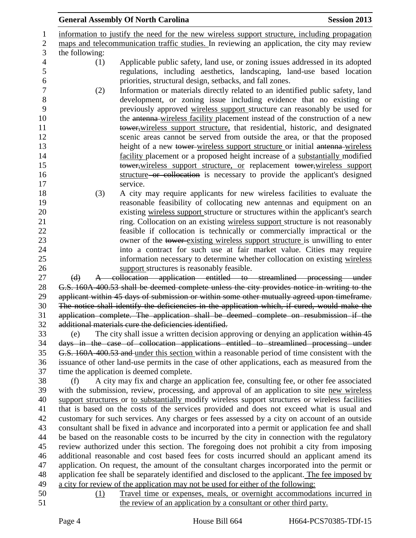|                                                                                              | <b>General Assembly Of North Carolina</b>                                                                                                                                                | <b>Session 2013</b> |  |
|----------------------------------------------------------------------------------------------|------------------------------------------------------------------------------------------------------------------------------------------------------------------------------------------|---------------------|--|
|                                                                                              | information to justify the need for the new wireless support structure, including propagation                                                                                            |                     |  |
| maps and telecommunication traffic studies. In reviewing an application, the city may review |                                                                                                                                                                                          |                     |  |
| the following:                                                                               |                                                                                                                                                                                          |                     |  |
| (1)                                                                                          | Applicable public safety, land use, or zoning issues addressed in its adopted                                                                                                            |                     |  |
|                                                                                              | regulations, including aesthetics, landscaping, land-use based location                                                                                                                  |                     |  |
|                                                                                              | priorities, structural design, setbacks, and fall zones.                                                                                                                                 |                     |  |
| (2)                                                                                          | Information or materials directly related to an identified public safety, land                                                                                                           |                     |  |
|                                                                                              | development, or zoning issue including evidence that no existing or                                                                                                                      |                     |  |
|                                                                                              | previously approved wireless support structure can reasonably be used for                                                                                                                |                     |  |
|                                                                                              | the antenna-wireless facility placement instead of the construction of a new                                                                                                             |                     |  |
|                                                                                              | tower, wireless support structure, that residential, historic, and designated                                                                                                            |                     |  |
|                                                                                              | scenic areas cannot be served from outside the area, or that the proposed                                                                                                                |                     |  |
|                                                                                              | height of a new tower wireless support structure or initial antenna wireless                                                                                                             |                     |  |
|                                                                                              | facility placement or a proposed height increase of a substantially modified                                                                                                             |                     |  |
|                                                                                              | tower, wireless support structure, or replacement tower, wireless support                                                                                                                |                     |  |
|                                                                                              | structure or collocation is necessary to provide the applicant's designed                                                                                                                |                     |  |
|                                                                                              | service.                                                                                                                                                                                 |                     |  |
| (3)                                                                                          | A city may require applicants for new wireless facilities to evaluate the                                                                                                                |                     |  |
|                                                                                              | reasonable feasibility of collocating new antennas and equipment on an                                                                                                                   |                     |  |
|                                                                                              | existing wireless support structure or structures within the applicant's search                                                                                                          |                     |  |
|                                                                                              | ring. Collocation on an existing wireless support structure is not reasonably                                                                                                            |                     |  |
|                                                                                              | feasible if collocation is technically or commercially impractical or the                                                                                                                |                     |  |
|                                                                                              | owner of the tower existing wireless support structure is unwilling to enter                                                                                                             |                     |  |
|                                                                                              | into a contract for such use at fair market value. Cities may require<br>information necessary to determine whether collocation on existing wireless                                     |                     |  |
|                                                                                              | support structures is reasonably feasible.                                                                                                                                               |                     |  |
| $\Theta$                                                                                     | A collocation application entitled to streamlined processing under                                                                                                                       |                     |  |
|                                                                                              | G.S. 160A-400.53 shall be deemed complete unless the city provides notice in writing to the                                                                                              |                     |  |
|                                                                                              | applicant within 45 days of submission or within some other mutually agreed upon timeframe.                                                                                              |                     |  |
|                                                                                              | The notice shall identify the deficiencies in the application which, if cured, would make the                                                                                            |                     |  |
|                                                                                              | application complete. The application shall be deemed complete on resubmission if the                                                                                                    |                     |  |
|                                                                                              | additional materials cure the deficiencies identified.                                                                                                                                   |                     |  |
| (e)                                                                                          | The city shall issue a written decision approving or denying an application within 45                                                                                                    |                     |  |
|                                                                                              | days in the case of collocation applications entitled to streamlined processing under                                                                                                    |                     |  |
|                                                                                              | G.S. 160A-400.53 and under this section within a reasonable period of time consistent with the                                                                                           |                     |  |
|                                                                                              | issuance of other land-use permits in the case of other applications, each as measured from the                                                                                          |                     |  |
|                                                                                              | time the application is deemed complete.                                                                                                                                                 |                     |  |
| (f)                                                                                          | A city may fix and charge an application fee, consulting fee, or other fee associated                                                                                                    |                     |  |
|                                                                                              | with the submission, review, processing, and approval of an application to site new wireless                                                                                             |                     |  |
|                                                                                              | support structures or to substantially modify wireless support structures or wireless facilities                                                                                         |                     |  |
|                                                                                              | that is based on the costs of the services provided and does not exceed what is usual and                                                                                                |                     |  |
|                                                                                              | customary for such services. Any charges or fees assessed by a city on account of an outside                                                                                             |                     |  |
|                                                                                              | consultant shall be fixed in advance and incorporated into a permit or application fee and shall                                                                                         |                     |  |
|                                                                                              | be based on the reasonable costs to be incurred by the city in connection with the regulatory                                                                                            |                     |  |
|                                                                                              | review authorized under this section. The foregoing does not prohibit a city from imposing<br>additional reasonable and cost based fees for costs incurred should an applicant amend its |                     |  |
|                                                                                              | application. On request, the amount of the consultant charges incorporated into the permit or                                                                                            |                     |  |
|                                                                                              | application fee shall be separately identified and disclosed to the applicant. The fee imposed by                                                                                        |                     |  |
|                                                                                              | a city for review of the application may not be used for either of the following:                                                                                                        |                     |  |
| (1)                                                                                          | Travel time or expenses, meals, or overnight accommodations incurred in                                                                                                                  |                     |  |
|                                                                                              | the review of an application by a consultant or other third party.                                                                                                                       |                     |  |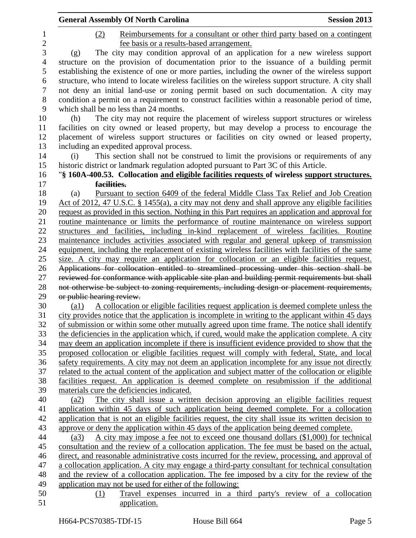|                | <b>General Assembly Of North Carolina</b><br><b>Session 2013</b>                                                                                                                             |
|----------------|----------------------------------------------------------------------------------------------------------------------------------------------------------------------------------------------|
| 1              | Reimbursements for a consultant or other third party based on a contingent<br>(2)                                                                                                            |
| $\overline{c}$ | fee basis or a results-based arrangement.                                                                                                                                                    |
| 3              | The city may condition approval of an application for a new wireless support<br>(g)                                                                                                          |
| 4              | structure on the provision of documentation prior to the issuance of a building permit                                                                                                       |
| 5              | establishing the existence of one or more parties, including the owner of the wireless support                                                                                               |
| 6              | structure, who intend to locate wireless facilities on the wireless support structure. A city shall                                                                                          |
| $\tau$         | not deny an initial land-use or zoning permit based on such documentation. A city may                                                                                                        |
| 8              | condition a permit on a requirement to construct facilities within a reasonable period of time,                                                                                              |
| 9              | which shall be no less than 24 months.                                                                                                                                                       |
| 10             | The city may not require the placement of wireless support structures or wireless<br>(h)                                                                                                     |
| 11             | facilities on city owned or leased property, but may develop a process to encourage the                                                                                                      |
| 12             | placement of wireless support structures or facilities on city owned or leased property,                                                                                                     |
| 13             | including an expedited approval process.                                                                                                                                                     |
| 14             | This section shall not be construed to limit the provisions or requirements of any<br>(i)                                                                                                    |
| 15             | historic district or landmark regulation adopted pursuant to Part 3C of this Article.                                                                                                        |
| 16             | "§ 160A-400.53. Collocation and eligible facilities requests of wireless support structures.                                                                                                 |
| 17             | facilities.                                                                                                                                                                                  |
| 18             | Pursuant to section 6409 of the federal Middle Class Tax Relief and Job Creation<br>(a)                                                                                                      |
| 19             | Act of 2012, 47 U.S.C. § 1455(a), a city may not deny and shall approve any eligible facilities                                                                                              |
| 20             | request as provided in this section. Nothing in this Part requires an application and approval for                                                                                           |
| 21             | routine maintenance or limits the performance of routine maintenance on wireless support                                                                                                     |
| 22             | structures and facilities, including in-kind replacement of wireless facilities. Routine                                                                                                     |
| 23             | maintenance includes activities associated with regular and general upkeep of transmission                                                                                                   |
| 24             | equipment, including the replacement of existing wireless facilities with facilities of the same                                                                                             |
| 25             | size. A city may require an application for collocation or an eligible facilities request.                                                                                                   |
| 26             | Applications for collocation entitled to streamlined processing under this section shall be                                                                                                  |
| 27             | reviewed for conformance with applicable site plan and building permit requirements but shall                                                                                                |
| 28             | not otherwise be subject to zoning requirements, including design or placement requirements,                                                                                                 |
| 29<br>30       | or public hearing review.<br>$\left( a1\right)$                                                                                                                                              |
| 31             | A collocation or eligible facilities request application is deemed complete unless the<br>city provides notice that the application is incomplete in writing to the applicant within 45 days |
| 32             | of submission or within some other mutually agreed upon time frame. The notice shall identify                                                                                                |
| 33             | the deficiencies in the application which, if cured, would make the application complete. A city                                                                                             |
| 34             | may deem an application incomplete if there is insufficient evidence provided to show that the                                                                                               |
| 35             | proposed collocation or eligible facilities request will comply with federal, State, and local                                                                                               |
| 36             | safety requirements. A city may not deem an application incomplete for any issue not directly                                                                                                |
| 37             | related to the actual content of the application and subject matter of the collocation or eligible                                                                                           |
| 38             | facilities request. An application is deemed complete on resubmission if the additional                                                                                                      |
| 39             | materials cure the deficiencies indicated.                                                                                                                                                   |
| 40             | The city shall issue a written decision approving an eligible facilities request<br>(a2)                                                                                                     |
| 41             | application within 45 days of such application being deemed complete. For a collocation                                                                                                      |
| 42             | application that is not an eligible facilities request, the city shall issue its written decision to                                                                                         |
| 43             | approve or deny the application within 45 days of the application being deemed complete.                                                                                                     |
| 44             | A city may impose a fee not to exceed one thousand dollars (\$1,000) for technical<br>(a3)                                                                                                   |
| 45             | consultation and the review of a collocation application. The fee must be based on the actual,                                                                                               |
| 46             | direct, and reasonable administrative costs incurred for the review, processing, and approval of                                                                                             |
| 47             | a collocation application. A city may engage a third-party consultant for technical consultation                                                                                             |
| 48             | and the review of a collocation application. The fee imposed by a city for the review of the                                                                                                 |
| 49             | application may not be used for either of the following:                                                                                                                                     |
| 50             | Travel expenses incurred in a third party's review of a collocation<br>(1)                                                                                                                   |
| 51             | application.                                                                                                                                                                                 |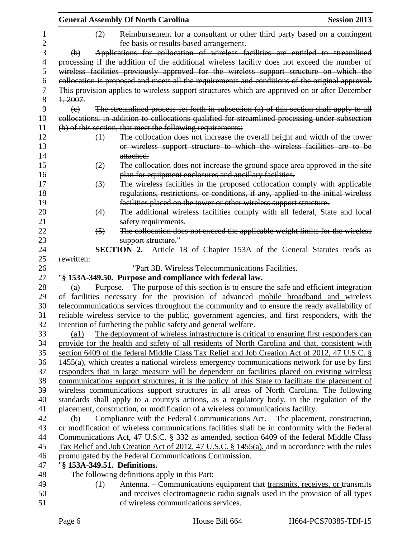|                |                      | <b>General Assembly Of North Carolina</b>                                                                                                                                       | <b>Session 2013</b> |
|----------------|----------------------|---------------------------------------------------------------------------------------------------------------------------------------------------------------------------------|---------------------|
| 1              | (2)                  | Reimbursement for a consultant or other third party based on a contingent                                                                                                       |                     |
| $\overline{2}$ |                      | fee basis or results-based arrangement.                                                                                                                                         |                     |
| 3              | $\Theta$             | Applications for collocation of wireless facilities are entitled to streamlined                                                                                                 |                     |
| 4              |                      | processing if the addition of the additional wireless facility does not exceed the number of                                                                                    |                     |
| 5              |                      | wireless facilities previously approved for the wireless support structure on which the                                                                                         |                     |
| 6              |                      | collocation is proposed and meets all the requirements and conditions of the original approval.                                                                                 |                     |
| 7              |                      | This provision applies to wireless support structures which are approved on or after December                                                                                   |                     |
| 8              | 1,2007.              |                                                                                                                                                                                 |                     |
| 9              | $\left( \in \right)$ | The streamlined process set forth in subsection (a) of this section shall apply to all                                                                                          |                     |
| 10             |                      | collocations, in addition to collocations qualified for streamlined processing under subsection                                                                                 |                     |
| 11             |                      | (b) of this section, that meet the following requirements:                                                                                                                      |                     |
| 12             | $\leftrightarrow$    | The collocation does not increase the overall height and width of the tower                                                                                                     |                     |
| 13             |                      | or wireless support structure to which the wireless facilities are to be                                                                                                        |                     |
| 14             |                      | attached.                                                                                                                                                                       |                     |
| 15             | (2)                  | The collocation does not increase the ground space area approved in the site                                                                                                    |                     |
| 16             |                      | plan for equipment enclosures and ancillary facilities.                                                                                                                         |                     |
| 17             | $\left(3\right)$     | The wireless facilities in the proposed collocation comply with applicable                                                                                                      |                     |
| 18             |                      | regulations, restrictions, or conditions, if any, applied to the initial wireless                                                                                               |                     |
| 19             |                      | facilities placed on the tower or other wireless support structure.                                                                                                             |                     |
| 20<br>21       | (4)                  | The additional wireless facilities comply with all federal, State and local<br>safety requirements.                                                                             |                     |
| 22             | $\left(5\right)$     | The collocation does not exceed the applicable weight limits for the wireless                                                                                                   |                     |
| 23             |                      | support structure."                                                                                                                                                             |                     |
| 24             |                      | <b>SECTION 2.</b> Article 18 of Chapter 153A of the General Statutes reads as                                                                                                   |                     |
| 25             | rewritten:           |                                                                                                                                                                                 |                     |
| 26             |                      | "Part 3B. Wireless Telecommunications Facilities.                                                                                                                               |                     |
| 27             |                      | "§ 153A-349.50. Purpose and compliance with federal law.                                                                                                                        |                     |
| 28             | (a)                  | Purpose. – The purpose of this section is to ensure the safe and efficient integration                                                                                          |                     |
| 29             |                      | of facilities necessary for the provision of advanced mobile broadband and wireless                                                                                             |                     |
| 30             |                      | telecommunications services throughout the community and to ensure the ready availability of                                                                                    |                     |
| 31             |                      | reliable wireless service to the public, government agencies, and first responders, with the                                                                                    |                     |
| 32             |                      | intention of furthering the public safety and general welfare.                                                                                                                  |                     |
| 33             | $\left( a1\right)$   | The deployment of wireless infrastructure is critical to ensuring first responders can                                                                                          |                     |
| 34             |                      | provide for the health and safety of all residents of North Carolina and that, consistent with                                                                                  |                     |
| 35             |                      | section 6409 of the federal Middle Class Tax Relief and Job Creation Act of 2012, 47 U.S.C. §                                                                                   |                     |
| 36             |                      | 1455(a), which creates a national wireless emergency communications network for use by first                                                                                    |                     |
| 37             |                      | responders that in large measure will be dependent on facilities placed on existing wireless                                                                                    |                     |
| 38             |                      | communications support structures, it is the policy of this State to facilitate the placement of                                                                                |                     |
| 39             |                      | wireless communications support structures in all areas of North Carolina. The following                                                                                        |                     |
| 40             |                      | standards shall apply to a county's actions, as a regulatory body, in the regulation of the                                                                                     |                     |
| 41<br>42       | (b)                  | placement, construction, or modification of a wireless communications facility.                                                                                                 |                     |
| 43             |                      | Compliance with the Federal Communications Act. - The placement, construction,<br>or modification of wireless communications facilities shall be in conformity with the Federal |                     |
| 44             |                      | Communications Act, 47 U.S.C. § 332 as amended, section 6409 of the federal Middle Class                                                                                        |                     |
| 45             |                      | Tax Relief and Job Creation Act of 2012, 47 U.S.C. § 1455(a), and in accordance with the rules                                                                                  |                     |
| 46             |                      | promulgated by the Federal Communications Commission.                                                                                                                           |                     |
| 47             |                      | "§ 153A-349.51. Definitions.                                                                                                                                                    |                     |
| 48             |                      | The following definitions apply in this Part:                                                                                                                                   |                     |
| 49             | (1)                  | Antenna. – Communications equipment that transmits, receives, or transmits                                                                                                      |                     |
| 50             |                      | and receives electromagnetic radio signals used in the provision of all types                                                                                                   |                     |
| 51             |                      | of wireless communications services.                                                                                                                                            |                     |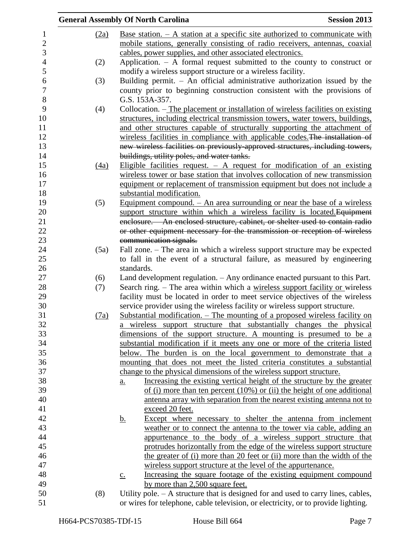|                  |      | <b>General Assembly Of North Carolina</b>                                                       | <b>Session 2013</b> |
|------------------|------|-------------------------------------------------------------------------------------------------|---------------------|
| $\mathbf{1}$     | (2a) | <u>Base station. <math>- A</math> station at a specific site authorized to communicate with</u> |                     |
| $\mathbf{2}$     |      | mobile stations, generally consisting of radio receivers, antennas, coaxial                     |                     |
| 3                |      | cables, power supplies, and other associated electronics.                                       |                     |
| $\overline{4}$   | (2)  | Application. $-$ A formal request submitted to the county to construct or                       |                     |
| 5                |      | modify a wireless support structure or a wireless facility.                                     |                     |
| $\boldsymbol{6}$ | (3)  | Building permit. $-$ An official administrative authorization issued by the                     |                     |
| $\boldsymbol{7}$ |      | county prior to beginning construction consistent with the provisions of                        |                     |
| $\,8\,$          |      | G.S. 153A-357.                                                                                  |                     |
| 9                | (4)  | Collocation. – The placement or installation of wireless facilities on existing                 |                     |
| 10               |      | structures, including electrical transmission towers, water towers, buildings,                  |                     |
| 11               |      | and other structures capable of structurally supporting the attachment of                       |                     |
| 12               |      | wireless facilities in compliance with applicable codes. The installation of                    |                     |
| 13               |      | new wireless facilities on previously-approved structures, including towers,                    |                     |
| 14               |      | buildings, utility poles, and water tanks.                                                      |                     |
| 15               | (4a) | Eligible facilities request. $-$ A request for modification of an existing                      |                     |
| 16               |      | wireless tower or base station that involves collocation of new transmission                    |                     |
| 17               |      | equipment or replacement of transmission equipment but does not include a                       |                     |
| 18               |      | substantial modification.                                                                       |                     |
| 19               | (5)  | Equipment compound. $-$ An area surrounding or near the base of a wireless                      |                     |
| 20               |      | support structure within which a wireless facility is located. Equipment                        |                     |
| 21               |      | enclosure. - An enclosed structure, cabinet, or shelter used to contain radio                   |                     |
| $22\,$           |      | or other equipment necessary for the transmission or reception of wireless                      |                     |
| 23               |      | communication signals.                                                                          |                     |
| 24               | (5a) | Fall zone. – The area in which a wireless support structure may be expected                     |                     |
| 25               |      | to fall in the event of a structural failure, as measured by engineering                        |                     |
| 26               |      | standards.                                                                                      |                     |
| 27               | (6)  | Land development regulation. - Any ordinance enacted pursuant to this Part.                     |                     |
| 28               | (7)  | Search ring. – The area within which a wireless support facility or wireless                    |                     |
| 29               |      | facility must be located in order to meet service objectives of the wireless                    |                     |
| $30\,$           |      | service provider using the wireless facility or wireless support structure.                     |                     |
| 31               | (7a) | Substantial modification. - The mounting of a proposed wireless facility on                     |                     |
| 32               |      | a wireless support structure that substantially changes the physical                            |                     |
| 33               |      | dimensions of the support structure. A mounting is presumed to be a                             |                     |
| 34               |      | substantial modification if it meets any one or more of the criteria listed                     |                     |
| 35               |      | below. The burden is on the local government to demonstrate that a                              |                     |
| 36               |      | mounting that does not meet the listed criteria constitutes a substantial                       |                     |
| 37               |      | change to the physical dimensions of the wireless support structure.                            |                     |
| 38               |      | Increasing the existing vertical height of the structure by the greater<br>$\underline{a}$ .    |                     |
| 39               |      | of (i) more than ten percent $(10\%)$ or (ii) the height of one additional                      |                     |
| 40               |      | antenna array with separation from the nearest existing antenna not to                          |                     |
| 41               |      | exceed 20 feet.                                                                                 |                     |
| 42               |      | Except where necessary to shelter the antenna from inclement<br><u>b.</u>                       |                     |
| 43               |      | weather or to connect the antenna to the tower via cable, adding an                             |                     |
| 44               |      | appurtenance to the body of a wireless support structure that                                   |                     |
| 45               |      | protrudes horizontally from the edge of the wireless support structure                          |                     |
| 46               |      | the greater of (i) more than 20 feet or (ii) more than the width of the                         |                     |
| 47               |      | wireless support structure at the level of the appurtenance.                                    |                     |
| 48               |      | Increasing the square footage of the existing equipment compound<br>$\underline{c}$ .           |                     |
| 49               |      | by more than 2,500 square feet.                                                                 |                     |
| 50               | (8)  | Utility pole. $- A$ structure that is designed for and used to carry lines, cables,             |                     |
| 51               |      | or wires for telephone, cable television, or electricity, or to provide lighting.               |                     |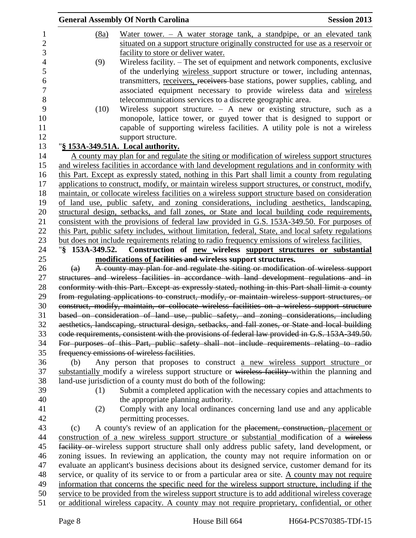|                |                   | <b>General Assembly Of North Carolina</b>                                                                                                                                                      | <b>Session 2013</b> |
|----------------|-------------------|------------------------------------------------------------------------------------------------------------------------------------------------------------------------------------------------|---------------------|
| 1              | (8a)              | Water tower. $-$ A water storage tank, a standpipe, or an elevated tank                                                                                                                        |                     |
| $\overline{2}$ |                   | situated on a support structure originally constructed for use as a reservoir or                                                                                                               |                     |
| 3              |                   | facility to store or deliver water.                                                                                                                                                            |                     |
| $\overline{4}$ | (9)               | Wireless facility. - The set of equipment and network components, exclusive                                                                                                                    |                     |
| 5              |                   | of the underlying wireless support structure or tower, including antennas,                                                                                                                     |                     |
| 6              |                   | transmitters, receivers, receivers base stations, power supplies, cabling, and                                                                                                                 |                     |
| $\tau$         |                   | associated equipment necessary to provide wireless data and wireless                                                                                                                           |                     |
| 8              |                   | telecommunications services to a discrete geographic area.                                                                                                                                     |                     |
| 9              | (10)              | Wireless support structure. $-$ A new or existing structure, such as a                                                                                                                         |                     |
| 10             |                   | monopole, lattice tower, or guyed tower that is designed to support or                                                                                                                         |                     |
| 11             |                   | capable of supporting wireless facilities. A utility pole is not a wireless                                                                                                                    |                     |
| 12             |                   | support structure.                                                                                                                                                                             |                     |
| 13             |                   | "§ 153A-349.51A. Local authority.                                                                                                                                                              |                     |
| 14             |                   | A county may plan for and regulate the siting or modification of wireless support structures                                                                                                   |                     |
| 15             |                   | and wireless facilities in accordance with land development regulations and in conformity with                                                                                                 |                     |
| 16             |                   | this Part. Except as expressly stated, nothing in this Part shall limit a county from regulating                                                                                               |                     |
| 17<br>18       |                   | applications to construct, modify, or maintain wireless support structures, or construct, modify,                                                                                              |                     |
| 19             |                   | maintain, or collocate wireless facilities on a wireless support structure based on consideration<br>of land use, public safety, and zoning considerations, including aesthetics, landscaping, |                     |
| 20             |                   | structural design, setbacks, and fall zones, or State and local building code requirements,                                                                                                    |                     |
| 21             |                   | consistent with the provisions of federal law provided in G.S. 153A-349.50. For purposes of                                                                                                    |                     |
| 22             |                   | this Part, public safety includes, without limitation, federal, State, and local safety regulations                                                                                            |                     |
| 23             |                   | but does not include requirements relating to radio frequency emissions of wireless facilities.                                                                                                |                     |
| 24             | "§ 153A-349.52.   | Construction of new wireless support structures or substantial                                                                                                                                 |                     |
| 25             |                   | modifications of facilities and wireless support structures.                                                                                                                                   |                     |
| 26             | $\left( a\right)$ | A county may plan for and regulate the siting or modification of wireless support                                                                                                              |                     |
| 27             |                   | structures and wireless facilities in accordance with land development regulations and in                                                                                                      |                     |
| 28             |                   | conformity with this Part. Except as expressly stated, nothing in this Part shall limit a county                                                                                               |                     |
| 29             |                   | from regulating applications to construct, modify, or maintain wireless support structures, or                                                                                                 |                     |
| 30             |                   | construct, modify, maintain, or collocate wireless facilities on a wireless support structure                                                                                                  |                     |
| 31<br>32       |                   | based on consideration of land use, public safety, and zoning considerations, including                                                                                                        |                     |
|                |                   | aesthetics, landscaping, structural design, setbacks, and fall zones, or State and local building                                                                                              |                     |
| 33             |                   | eode requirements, consistent with the provisions of federal law provided in G.S. 153A-349.50.                                                                                                 |                     |
| 34<br>35       |                   | For purposes of this Part, public safety shall not include requirements relating to radio                                                                                                      |                     |
|                |                   | frequency emissions of wireless facilities.                                                                                                                                                    |                     |
|                | (b)               | Any person that proposes to construct a new wireless support structure or                                                                                                                      |                     |
| 37<br>38       |                   | substantially modify a wireless support structure or wireless facility within the planning and<br>land-use jurisdiction of a county must do both of the following:                             |                     |
|                | (1)               | Submit a completed application with the necessary copies and attachments to                                                                                                                    |                     |
|                |                   | the appropriate planning authority.                                                                                                                                                            |                     |
|                | (2)               | Comply with any local ordinances concerning land use and any applicable                                                                                                                        |                     |
|                |                   | permitting processes.                                                                                                                                                                          |                     |
|                | (c)               | A county's review of an application for the placement, construction, placement or                                                                                                              |                     |
|                |                   | construction of a new wireless support structure or substantial modification of a wireless                                                                                                     |                     |
|                |                   | facility or wireless support structure shall only address public safety, land development, or                                                                                                  |                     |
| 46             |                   | zoning issues. In reviewing an application, the county may not require information on or                                                                                                       |                     |
| 47             |                   | evaluate an applicant's business decisions about its designed service, customer demand for its                                                                                                 |                     |
| 48             |                   | service, or quality of its service to or from a particular area or site. A county may not require                                                                                              |                     |
| 49             |                   | information that concerns the specific need for the wireless support structure, including if the                                                                                               |                     |
| 50             |                   | service to be provided from the wireless support structure is to add additional wireless coverage                                                                                              |                     |
| 51             |                   | or additional wireless capacity. A county may not require proprietary, confidential, or other                                                                                                  |                     |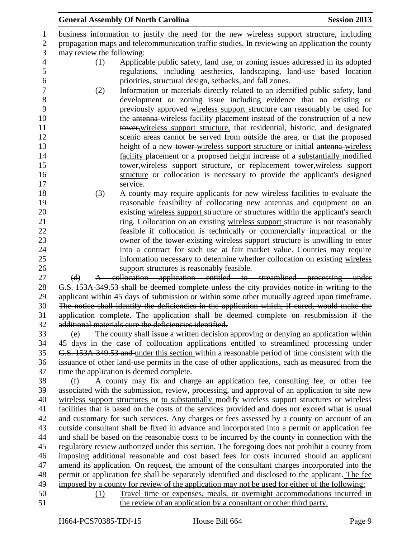| <b>General Assembly Of North Carolina</b>                                                                                                                                                                                                                                                                                                                                                                                                                                                                                                                     | <b>Session 2013</b> |  |
|---------------------------------------------------------------------------------------------------------------------------------------------------------------------------------------------------------------------------------------------------------------------------------------------------------------------------------------------------------------------------------------------------------------------------------------------------------------------------------------------------------------------------------------------------------------|---------------------|--|
| business information to justify the need for the new wireless support structure, including                                                                                                                                                                                                                                                                                                                                                                                                                                                                    |                     |  |
| propagation maps and telecommunication traffic studies. In reviewing an application the county                                                                                                                                                                                                                                                                                                                                                                                                                                                                |                     |  |
| may review the following:                                                                                                                                                                                                                                                                                                                                                                                                                                                                                                                                     |                     |  |
| Applicable public safety, land use, or zoning issues addressed in its adopted<br>(1)                                                                                                                                                                                                                                                                                                                                                                                                                                                                          |                     |  |
| regulations, including aesthetics, landscaping, land-use based location<br>priorities, structural design, setbacks, and fall zones.                                                                                                                                                                                                                                                                                                                                                                                                                           |                     |  |
| Information or materials directly related to an identified public safety, land<br>(2)                                                                                                                                                                                                                                                                                                                                                                                                                                                                         |                     |  |
| development or zoning issue including evidence that no existing or<br>previously approved wireless support structure can reasonably be used for<br>the antenna-wireless facility placement instead of the construction of a new<br>tower, wireless support structure, that residential, historic, and designated<br>scenic areas cannot be served from outside the area, or that the proposed<br>height of a new tower-wireless support structure or initial antenna-wireless<br>facility placement or a proposed height increase of a substantially modified |                     |  |
|                                                                                                                                                                                                                                                                                                                                                                                                                                                                                                                                                               |                     |  |
| tower, wireless support structure, or replacement tower, wireless support<br>structure or collocation is necessary to provide the applicant's designed<br>service.                                                                                                                                                                                                                                                                                                                                                                                            |                     |  |
| A county may require applicants for new wireless facilities to evaluate the<br>(3)                                                                                                                                                                                                                                                                                                                                                                                                                                                                            |                     |  |
| reasonable feasibility of collocating new antennas and equipment on an                                                                                                                                                                                                                                                                                                                                                                                                                                                                                        |                     |  |
| existing wireless support structure or structures within the applicant's search                                                                                                                                                                                                                                                                                                                                                                                                                                                                               |                     |  |
| ring. Collocation on an existing wireless support structure is not reasonably                                                                                                                                                                                                                                                                                                                                                                                                                                                                                 |                     |  |
| feasible if collocation is technically or commercially impractical or the                                                                                                                                                                                                                                                                                                                                                                                                                                                                                     |                     |  |
| owner of the tower existing wireless support structure is unwilling to enter                                                                                                                                                                                                                                                                                                                                                                                                                                                                                  |                     |  |
| into a contract for such use at fair market value. Counties may require                                                                                                                                                                                                                                                                                                                                                                                                                                                                                       |                     |  |
| information necessary to determine whether collocation on existing wireless                                                                                                                                                                                                                                                                                                                                                                                                                                                                                   |                     |  |
| support structures is reasonably feasible.                                                                                                                                                                                                                                                                                                                                                                                                                                                                                                                    |                     |  |
| A collocation application entitled to streamlined processing under<br>(d)                                                                                                                                                                                                                                                                                                                                                                                                                                                                                     |                     |  |
| G.S. 153A-349.53 shall be deemed complete unless the city provides notice in writing to the                                                                                                                                                                                                                                                                                                                                                                                                                                                                   |                     |  |
| applicant within 45 days of submission or within some other mutually agreed upon timeframe.                                                                                                                                                                                                                                                                                                                                                                                                                                                                   |                     |  |
| The notice shall identify the deficiencies in the application which, if cured, would make the                                                                                                                                                                                                                                                                                                                                                                                                                                                                 |                     |  |
| application complete. The application shall be deemed complete on resubmission if the                                                                                                                                                                                                                                                                                                                                                                                                                                                                         |                     |  |
| additional materials cure the deficiencies identified.                                                                                                                                                                                                                                                                                                                                                                                                                                                                                                        |                     |  |
| The county shall issue a written decision approving or denying an application within<br>(e)<br>45 days in the case of collocation applications entitled to streamlined processing under                                                                                                                                                                                                                                                                                                                                                                       |                     |  |
| G.S. 153A 349.53 and under this section within a reasonable period of time consistent with the                                                                                                                                                                                                                                                                                                                                                                                                                                                                |                     |  |
| issuance of other land-use permits in the case of other applications, each as measured from the                                                                                                                                                                                                                                                                                                                                                                                                                                                               |                     |  |
| time the application is deemed complete.                                                                                                                                                                                                                                                                                                                                                                                                                                                                                                                      |                     |  |
| A county may fix and charge an application fee, consulting fee, or other fee<br>(f)                                                                                                                                                                                                                                                                                                                                                                                                                                                                           |                     |  |
| associated with the submission, review, processing, and approval of an application to site new                                                                                                                                                                                                                                                                                                                                                                                                                                                                |                     |  |
| wireless support structures or to substantially modify wireless support structures or wireless                                                                                                                                                                                                                                                                                                                                                                                                                                                                |                     |  |
| facilities that is based on the costs of the services provided and does not exceed what is usual                                                                                                                                                                                                                                                                                                                                                                                                                                                              |                     |  |
| and customary for such services. Any charges or fees assessed by a county on account of an                                                                                                                                                                                                                                                                                                                                                                                                                                                                    |                     |  |
| outside consultant shall be fixed in advance and incorporated into a permit or application fee                                                                                                                                                                                                                                                                                                                                                                                                                                                                |                     |  |
| and shall be based on the reasonable costs to be incurred by the county in connection with the                                                                                                                                                                                                                                                                                                                                                                                                                                                                |                     |  |
| regulatory review authorized under this section. The foregoing does not prohibit a county from                                                                                                                                                                                                                                                                                                                                                                                                                                                                |                     |  |
| imposing additional reasonable and cost based fees for costs incurred should an applicant                                                                                                                                                                                                                                                                                                                                                                                                                                                                     |                     |  |
| amend its application. On request, the amount of the consultant charges incorporated into the                                                                                                                                                                                                                                                                                                                                                                                                                                                                 |                     |  |
| permit or application fee shall be separately identified and disclosed to the applicant. The fee                                                                                                                                                                                                                                                                                                                                                                                                                                                              |                     |  |
| imposed by a county for review of the application may not be used for either of the following:                                                                                                                                                                                                                                                                                                                                                                                                                                                                |                     |  |
| Travel time or expenses, meals, or overnight accommodations incurred in<br>(1)                                                                                                                                                                                                                                                                                                                                                                                                                                                                                |                     |  |
| the review of an application by a consultant or other third party.                                                                                                                                                                                                                                                                                                                                                                                                                                                                                            |                     |  |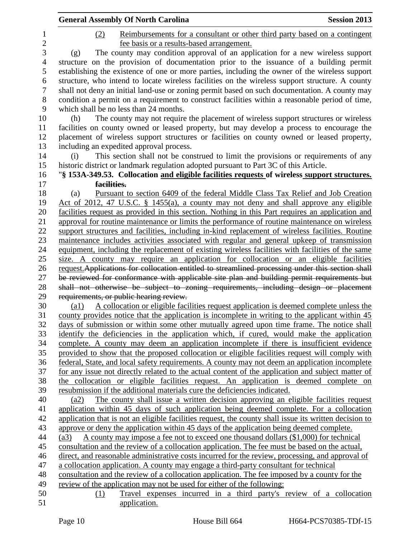|                  | <b>General Assembly Of North Carolina</b><br><b>Session 2013</b>                                             |  |
|------------------|--------------------------------------------------------------------------------------------------------------|--|
| 1                | Reimbursements for a consultant or other third party based on a contingent<br>(2)                            |  |
| $\overline{c}$   | fee basis or a results-based arrangement.                                                                    |  |
| 3                | The county may condition approval of an application for a new wireless support<br>(g)                        |  |
| $\overline{4}$   | structure on the provision of documentation prior to the issuance of a building permit                       |  |
| 5                | establishing the existence of one or more parties, including the owner of the wireless support               |  |
| 6                | structure, who intend to locate wireless facilities on the wireless support structure. A county              |  |
| $\boldsymbol{7}$ | shall not deny an initial land-use or zoning permit based on such documentation. A county may                |  |
| 8                | condition a permit on a requirement to construct facilities within a reasonable period of time,              |  |
| 9                | which shall be no less than 24 months.                                                                       |  |
| 10               | The county may not require the placement of wireless support structures or wireless<br>(h)                   |  |
| 11               | facilities on county owned or leased property, but may develop a process to encourage the                    |  |
| 12               | placement of wireless support structures or facilities on county owned or leased property,                   |  |
| 13               | including an expedited approval process.                                                                     |  |
| 14               | This section shall not be construed to limit the provisions or requirements of any<br>(i)                    |  |
| 15               | historic district or landmark regulation adopted pursuant to Part 3C of this Article.                        |  |
| 16               | "§ 153A-349.53. Collocation and eligible facilities requests of wireless support structures.                 |  |
| 17               | facilities.                                                                                                  |  |
| 18               | Pursuant to section 6409 of the federal Middle Class Tax Relief and Job Creation<br>(a)                      |  |
| 19               | <u>Act of 2012, 47 U.S.C. § 1455(a), a county may not deny and shall approve any eligible</u>                |  |
| 20               | facilities request as provided in this section. Nothing in this Part requires an application and             |  |
| 21               | approval for routine maintenance or limits the performance of routine maintenance on wireless                |  |
| 22               | support structures and facilities, including in-kind replacement of wireless facilities. Routine             |  |
| 23               | maintenance includes activities associated with regular and general upkeep of transmission                   |  |
| 24               | equipment, including the replacement of existing wireless facilities with facilities of the same             |  |
| 25               | size. A county may require an application for collocation or an eligible facilities                          |  |
| 26               | request. Applications for collocation entitled to streamlined processing under this section shall            |  |
| 27               | be reviewed for conformance with applicable site plan and building permit requirements but                   |  |
| 28               | shall not otherwise be subject to zoning requirements, including design or placement                         |  |
| 29               | requirements, or public hearing review.                                                                      |  |
| 30               | A collocation or eligible facilities request application is deemed complete unless the<br>$\left( a1\right)$ |  |
| 31               | county provides notice that the application is incomplete in writing to the applicant within 45              |  |
| 32               | days of submission or within some other mutually agreed upon time frame. The notice shall                    |  |
| 33               | identify the deficiencies in the application which, if cured, would make the application                     |  |
| 34               | complete. A county may deem an application incomplete if there is insufficient evidence                      |  |
| 35               | provided to show that the proposed collocation or eligible facilities request will comply with               |  |
| 36               | federal, State, and local safety requirements. A county may not deem an application incomplete               |  |
| 37               | for any issue not directly related to the actual content of the application and subject matter of            |  |
| 38               | the collocation or eligible facilities request. An application is deemed complete on                         |  |
| 39               | resubmission if the additional materials cure the deficiencies indicated.                                    |  |
| 40               | The county shall issue a written decision approving an eligible facilities request<br>(a2)                   |  |
| 41               | application within 45 days of such application being deemed complete. For a collocation                      |  |
| 42               | application that is not an eligible facilities request, the county shall issue its written decision to       |  |
| 43               | approve or deny the application within 45 days of the application being deemed complete.                     |  |
| 44               | A county may impose a fee not to exceed one thousand dollars (\$1,000) for technical<br>(a3)                 |  |
| 45               | consultation and the review of a collocation application. The fee must be based on the actual,               |  |
| 46               | direct, and reasonable administrative costs incurred for the review, processing, and approval of             |  |
| 47               | a collocation application. A county may engage a third-party consultant for technical                        |  |
| 48               | consultation and the review of a collocation application. The fee imposed by a county for the                |  |
| 49               | review of the application may not be used for either of the following:                                       |  |
| 50               | Travel expenses incurred in a third party's review of a collocation<br>(1)                                   |  |
| 51               | application.                                                                                                 |  |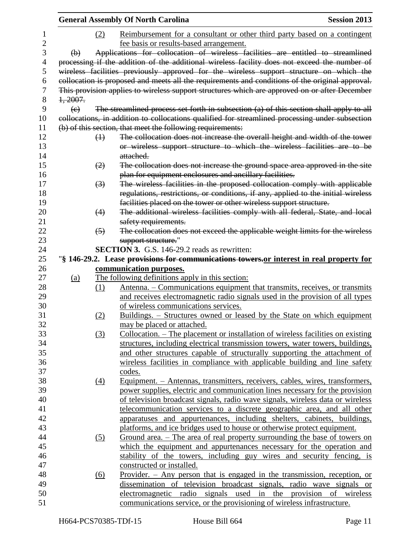|                         |                  | <b>General Assembly Of North Carolina</b>                                                                                                           | <b>Session 2013</b> |
|-------------------------|------------------|-----------------------------------------------------------------------------------------------------------------------------------------------------|---------------------|
|                         | (2)              | Reimbursement for a consultant or other third party based on a contingent                                                                           |                     |
|                         |                  | fee basis or results-based arrangement.                                                                                                             |                     |
| $\Theta$                |                  | Applications for collocation of wireless facilities are entitled to streamlined                                                                     |                     |
|                         |                  | processing if the addition of the additional wireless facility does not exceed the number of                                                        |                     |
|                         |                  | wireless facilities previously approved for the wireless support structure on which the                                                             |                     |
|                         |                  | collocation is proposed and meets all the requirements and conditions of the original approval.                                                     |                     |
|                         |                  | This provision applies to wireless support structures which are approved on or after December                                                       |                     |
| 1, 2007.                |                  |                                                                                                                                                     |                     |
| $\left(\epsilon\right)$ |                  | The streamlined process set forth in subsection (a) of this section shall apply to all                                                              |                     |
|                         |                  | collocations, in addition to collocations qualified for streamlined processing under subsection                                                     |                     |
|                         |                  | (b) of this section, that meet the following requirements:                                                                                          |                     |
|                         | $\bigoplus$      | The collocation does not increase the overall height and width of the tower                                                                         |                     |
|                         |                  | or wireless support structure to which the wireless facilities are to be                                                                            |                     |
|                         |                  | attached.                                                                                                                                           |                     |
|                         | (2)              | The collocation does not increase the ground space area approved in the site                                                                        |                     |
|                         |                  | plan for equipment enclosures and ancillary facilities.                                                                                             |                     |
|                         |                  | The wireless facilities in the proposed collocation comply with applicable                                                                          |                     |
|                         | $\left(3\right)$ |                                                                                                                                                     |                     |
|                         |                  | regulations, restrictions, or conditions, if any, applied to the initial wireless                                                                   |                     |
|                         | (4)              | facilities placed on the tower or other wireless support structure.<br>The additional wireless facilities comply with all federal, State, and local |                     |
|                         |                  | safety requirements.                                                                                                                                |                     |
|                         | $\left(5\right)$ | The collocation does not exceed the applicable weight limits for the wireless                                                                       |                     |
|                         |                  | support structure."                                                                                                                                 |                     |
|                         |                  | <b>SECTION 3.</b> G.S. 146-29.2 reads as rewritten:                                                                                                 |                     |
|                         |                  | "\\$ 146-29.2. Lease provisions for communications towers, or interest in real property for                                                         |                     |
|                         |                  | communication purposes.                                                                                                                             |                     |
| (a)                     |                  | The following definitions apply in this section:                                                                                                    |                     |
|                         | (1)              | <u>Antenna. – Communications equipment that transmits, receives, or transmits</u>                                                                   |                     |
|                         |                  | and receives electromagnetic radio signals used in the provision of all types                                                                       |                     |
|                         |                  | of wireless communications services.                                                                                                                |                     |
|                         | (2)              | Buildings. - Structures owned or leased by the State on which equipment                                                                             |                     |
|                         |                  | may be placed or attached.                                                                                                                          |                     |
|                         | (3)              | Collocation. – The placement or installation of wireless facilities on existing                                                                     |                     |
|                         |                  | structures, including electrical transmission towers, water towers, buildings,                                                                      |                     |
|                         |                  | and other structures capable of structurally supporting the attachment of                                                                           |                     |
|                         |                  | wireless facilities in compliance with applicable building and line safety                                                                          |                     |
|                         |                  | codes.                                                                                                                                              |                     |
|                         |                  |                                                                                                                                                     |                     |
|                         | $\Delta$         | Equipment. – Antennas, transmitters, receivers, cables, wires, transformers,                                                                        |                     |
|                         |                  | power supplies, electric and communication lines necessary for the provision                                                                        |                     |
|                         |                  | of television broadcast signals, radio wave signals, wireless data or wireless                                                                      |                     |
|                         |                  | telecommunication services to a discrete geographic area, and all other                                                                             |                     |
|                         |                  | apparatuses and appurtenances, including shelters, cabinets, buildings,                                                                             |                     |
|                         |                  | platforms, and ice bridges used to house or otherwise protect equipment.                                                                            |                     |
|                         | (5)              | <u>Ground area. – The area of real property surrounding the base of towers on</u>                                                                   |                     |
|                         |                  | which the equipment and appurtenances necessary for the operation and                                                                               |                     |
|                         |                  | stability of the towers, including guy wires and security fencing, is                                                                               |                     |
|                         |                  | constructed or installed.                                                                                                                           |                     |
|                         | <u>(6)</u>       | <u>Provider. <math>-</math> Any person that is engaged in the transmission, reception, or</u>                                                       |                     |
|                         |                  | dissemination of television broadcast signals, radio wave signals or                                                                                |                     |
|                         |                  | electromagnetic radio signals used in the provision of wireless                                                                                     |                     |
|                         |                  | communications service, or the provisioning of wireless infrastructure.                                                                             |                     |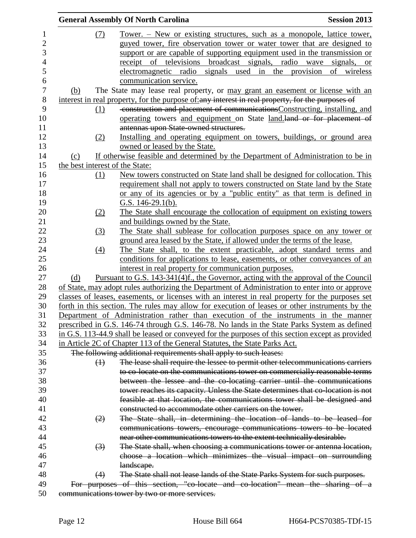|     |                   | <b>General Assembly Of North Carolina</b>                                                        | <b>Session 2013</b> |
|-----|-------------------|--------------------------------------------------------------------------------------------------|---------------------|
|     | (7)               | <u>Tower. – New or existing structures, such as a monopole, lattice tower,</u>                   |                     |
|     |                   | guyed tower, fire observation tower or water tower that are designed to                          |                     |
|     |                   | support or are capable of supporting equipment used in the transmission or                       |                     |
|     |                   | receipt of televisions broadcast signals, radio wave signals,                                    | <b>or</b>           |
|     |                   | electromagnetic radio signals used<br>in the<br>provision                                        | of<br>wireless      |
|     |                   |                                                                                                  |                     |
|     |                   | communication service.                                                                           |                     |
| (b) |                   | The State may lease real property, or may grant an easement or license with an                   |                     |
|     |                   | interest in real property, for the purpose of:any interest in real property, for the purposes of |                     |
|     | (1)               | construction and placement of communications Constructing, installing, and                       |                     |
|     |                   | operating towers and equipment on State land.land or for placement of                            |                     |
|     |                   | antennas upon State owned structures.                                                            |                     |
|     | (2)               | Installing and operating equipment on towers, buildings, or ground area                          |                     |
|     |                   | owned or leased by the State.                                                                    |                     |
| (c) |                   | If otherwise feasible and determined by the Department of Administration to be in                |                     |
|     |                   | the best interest of the State:                                                                  |                     |
|     | (1)               | New towers constructed on State land shall be designed for collocation. This                     |                     |
|     |                   | requirement shall not apply to towers constructed on State land by the State                     |                     |
|     |                   | or any of its agencies or by a "public entity" as that term is defined in                        |                     |
|     |                   | G.S. $146-29.1(b)$ .                                                                             |                     |
|     | (2)               | The State shall encourage the collocation of equipment on existing towers                        |                     |
|     |                   | and buildings owned by the State.                                                                |                     |
|     | (3)               | The State shall sublease for collocation purposes space on any tower or                          |                     |
|     |                   | ground area leased by the State, if allowed under the terms of the lease.                        |                     |
|     | (4)               | The State shall, to the extent practicable, adopt standard terms and                             |                     |
|     |                   | conditions for applications to lease, easements, or other conveyances of an                      |                     |
|     |                   | interest in real property for communication purposes.                                            |                     |
| (d) |                   | <u>Pursuant to G.S. 143-341(4)f., the Governor, acting with the approval of the Council</u>      |                     |
|     |                   | of State, may adopt rules authorizing the Department of Administration to enter into or approve  |                     |
|     |                   | classes of leases, easements, or licenses with an interest in real property for the purposes set |                     |
|     |                   | forth in this section. The rules may allow for execution of leases or other instruments by the   |                     |
|     |                   | Department of Administration rather than execution of the instruments in the manner              |                     |
|     |                   | prescribed in G.S. 146-74 through G.S. 146-78. No lands in the State Parks System as defined     |                     |
|     |                   | in G.S. 113-44.9 shall be leased or conveyed for the purposes of this section except as provided |                     |
|     |                   | in Article 2C of Chapter 113 of the General Statutes, the State Parks Act.                       |                     |
|     |                   | The following additional requirements shall apply to such leases:                                |                     |
|     | $\leftrightarrow$ | The lease shall require the lessee to permit other telecommunications carriers                   |                     |
|     |                   | to co-locate on the communications tower on commercially reasonable terms                        |                     |
|     |                   | between the lessee and the co-locating carrier until the communications                          |                     |
|     |                   | tower reaches its capacity. Unless the State determines that co-location is not                  |                     |
|     |                   | feasible at that location, the communications tower shall be designed and                        |                     |
|     |                   | constructed to accommodate other carriers on the tower.                                          |                     |
|     |                   |                                                                                                  |                     |
|     | (2)               | The State shall, in determining the location of lands to be leased for                           |                     |
|     |                   | communications towers, encourage communications towers to be located                             |                     |
|     |                   | near other communications towers to the extent technically desirable.                            |                     |
|     | $\left(3\right)$  | The State shall, when choosing a communications tower or antenna location,                       |                     |
|     |                   | choose a location which minimizes the visual impact on surrounding                               |                     |
|     |                   | landscape.                                                                                       |                     |
|     | (4)               | The State shall not lease lands of the State Parks System for such purposes.                     |                     |
|     |                   | For purposes of this section, "co-locate and co-location" mean the sharing of a                  |                     |
|     |                   | communications tower by two or more services.                                                    |                     |